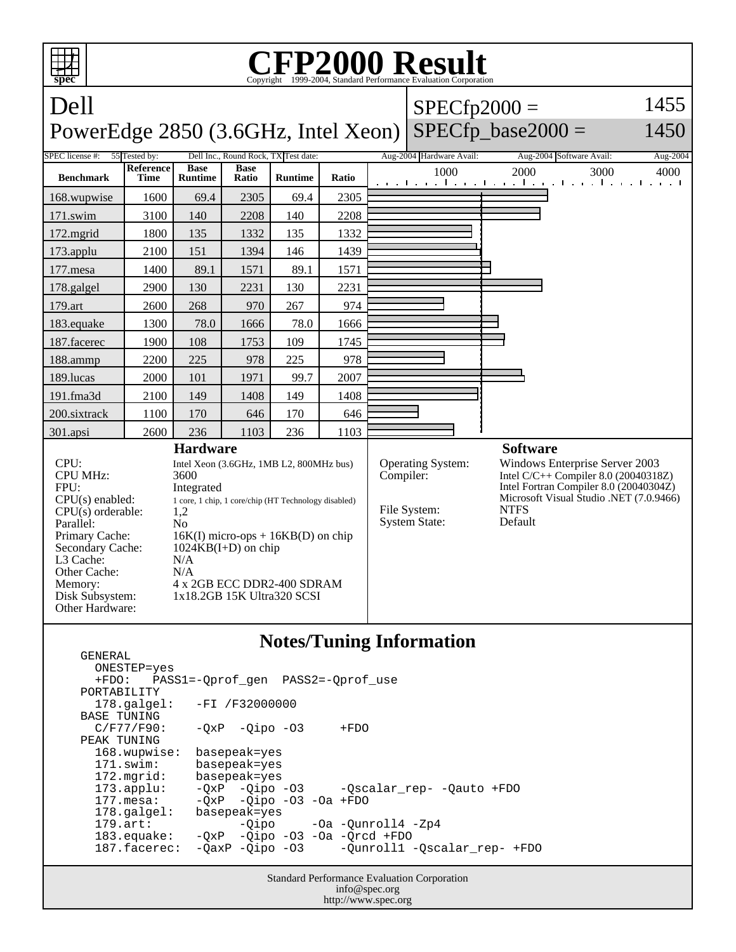

Standard Performance Evaluation Corporation ONESTEP=yes +FDO: PASS1=-Qprof\_gen PASS2=-Qprof\_use PORTABILITY 178.galgel: -FI /F32000000 BASE TUNING  $C/F77/F90: -QxP -Qipo -O3 +FDO$  PEAK TUNING 168.wupwise: basepeak=yes 171.swim: basepeak=yes 172.mgrid: basepeak=yes 173.applu: -QxP -Qipo -O3 -Qscalar\_rep- -Qauto +FDO 177.mesa: - QxP - Qipo - 03 - 0a + FDO<br>178.galgel: basepeak = yes 178.galgel: basepeak=yes<br>179.art: -Qipo -Qipo -Oa -Qunroll4 -Zp4 183.equake: -QxP -Qipo -O3 -Oa -Qrcd +FDO -Qunroll1 -Qscalar\_rep- +FDO

info@spec.org http://www.spec.org